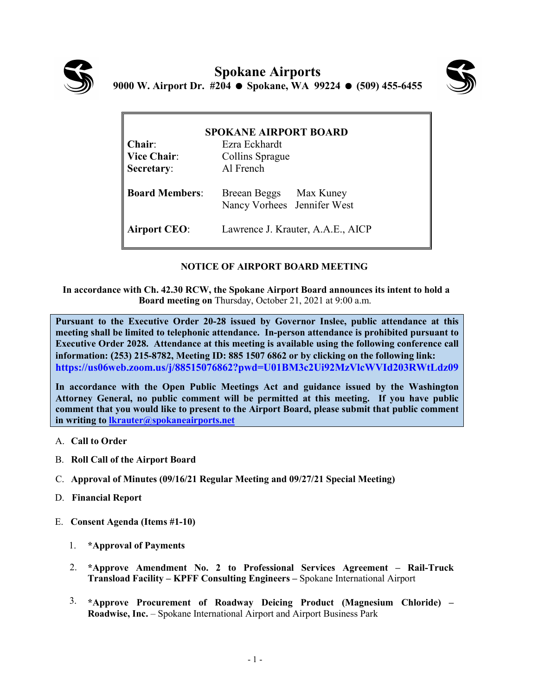



| <b>SPOKANE AIRPORT BOARD</b> |                                                       |
|------------------------------|-------------------------------------------------------|
| $Chair:$                     | Ezra Eckhardt                                         |
| <b>Vice Chair:</b>           | Collins Sprague                                       |
| Secretary:                   | Al French                                             |
| <b>Board Members:</b>        | Breean Beggs Max Kuney<br>Nancy Vorhees Jennifer West |
| <b>Airport CEO:</b>          | Lawrence J. Krauter, A.A.E., AICP                     |

## **NOTICE OF AIRPORT BOARD MEETING**

**In accordance with Ch. 42.30 RCW, the Spokane Airport Board announces its intent to hold a Board meeting on** Thursday, October 21, 2021 at 9:00 a.m.

**Pursuant to the Executive Order 20-28 issued by Governor Inslee, public attendance at this meeting shall be limited to telephonic attendance. In-person attendance is prohibited pursuant to Executive Order 2028. Attendance at this meeting is available using the following conference call information: (253) 215-8782, Meeting ID: 885 1507 6862 or by clicking on the following link: https://us06web.zoom.us/j/88515076862?pwd=U01BM3c2Ui92MzVlcWVId203RWtLdz09** 

**In accordance with the Open Public Meetings Act and guidance issued by the Washington Attorney General, no public comment will be permitted at this meeting. If you have public comment that you would like to present to the Airport Board, please submit that public comment in writing to [lkrauter@spokaneairports.net](mailto:lkrauter@spokaneairports.net)**

- A. **Call to Order**
- B. **Roll Call of the Airport Board**
- C. **Approval of Minutes (09/16/21 Regular Meeting and 09/27/21 Special Meeting)**
- D. **Financial Report**
- E. **Consent Agenda (Items #1-10)** 
	- 1. **\*Approval of Payments**
	- 2. **\*Approve Amendment No. 2 to Professional Services Agreement – Rail-Truck Transload Facility – KPFF Consulting Engineers –** Spokane International Airport
	- 3. **\*Approve Procurement of Roadway Deicing Product (Magnesium Chloride) – Roadwise, Inc.** – Spokane International Airport and Airport Business Park